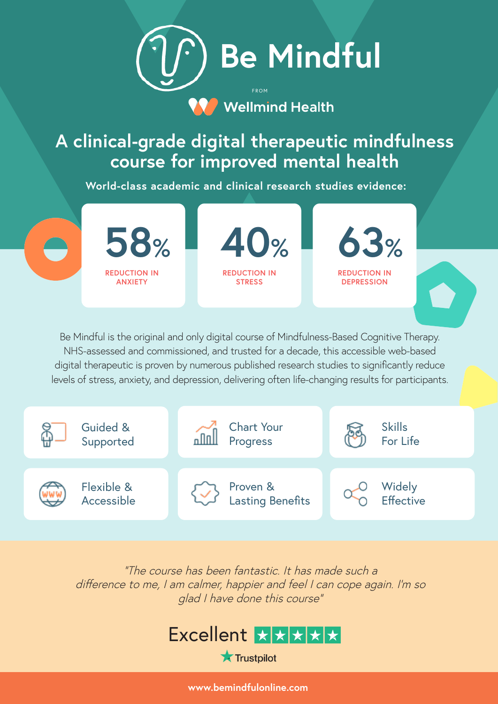

## **A clinical-grade digital therapeutic mindfulness course for improved mental health**

**World-class academic and clinical research studies evidence:**



Be Mindful is the original and only digital course of Mindfulness-Based Cognitive Therapy. NHS-assessed and commissioned, and trusted for a decade, this accessible web-based digital therapeutic is proven by numerous published research studies to significantly reduce levels of stress, anxiety, and depression, delivering often life-changing results for participants.



"The course has been fantastic. It has made such a difference to me, I am calmer, happier and feel I can cope again. I'm so glad I have done this course"

## Excellent XXX

**Trustpilot** 

**www.bemindfulonline.com**